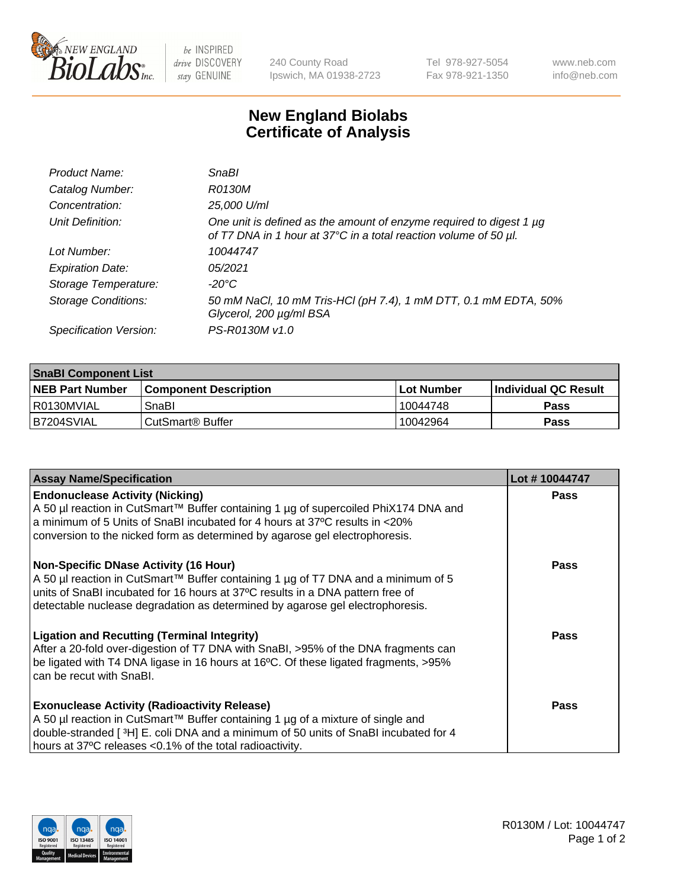

be INSPIRED drive DISCOVERY stay GENUINE

240 County Road Ipswich, MA 01938-2723 Tel 978-927-5054 Fax 978-921-1350 www.neb.com info@neb.com

## **New England Biolabs Certificate of Analysis**

| Product Name:              | <b>SnaBl</b>                                                                                                                            |
|----------------------------|-----------------------------------------------------------------------------------------------------------------------------------------|
| Catalog Number:            | R0130M                                                                                                                                  |
| Concentration:             | 25,000 U/ml                                                                                                                             |
| Unit Definition:           | One unit is defined as the amount of enzyme required to digest 1 µg<br>of T7 DNA in 1 hour at 37°C in a total reaction volume of 50 µl. |
| Lot Number:                | 10044747                                                                                                                                |
| <b>Expiration Date:</b>    | 05/2021                                                                                                                                 |
| Storage Temperature:       | $-20^{\circ}$ C                                                                                                                         |
| <b>Storage Conditions:</b> | 50 mM NaCl, 10 mM Tris-HCl (pH 7.4), 1 mM DTT, 0.1 mM EDTA, 50%<br>Glycerol, 200 µg/ml BSA                                              |
| Specification Version:     | PS-R0130M v1.0                                                                                                                          |

| <b>SnaBI Component List</b> |                         |             |                             |  |
|-----------------------------|-------------------------|-------------|-----------------------------|--|
| <b>NEB Part Number</b>      | l Component Description | ⊺Lot Number | <b>Individual QC Result</b> |  |
| I R0130MVIAL                | SnaBl                   | 10044748    | Pass                        |  |
| B7204SVIAL                  | l CutSmart® Buffer      | 10042964    | Pass                        |  |

| <b>Assay Name/Specification</b>                                                                                                                                                                                                                                                                      | Lot #10044747 |
|------------------------------------------------------------------------------------------------------------------------------------------------------------------------------------------------------------------------------------------------------------------------------------------------------|---------------|
| <b>Endonuclease Activity (Nicking)</b><br>A 50 µl reaction in CutSmart™ Buffer containing 1 µg of supercoiled PhiX174 DNA and<br>a minimum of 5 Units of SnaBI incubated for 4 hours at 37°C results in <20%<br>conversion to the nicked form as determined by agarose gel electrophoresis.          | <b>Pass</b>   |
| <b>Non-Specific DNase Activity (16 Hour)</b><br>A 50 µl reaction in CutSmart™ Buffer containing 1 µg of T7 DNA and a minimum of 5<br>units of SnaBI incubated for 16 hours at 37°C results in a DNA pattern free of<br>detectable nuclease degradation as determined by agarose gel electrophoresis. | Pass          |
| <b>Ligation and Recutting (Terminal Integrity)</b><br>After a 20-fold over-digestion of T7 DNA with SnaBI, >95% of the DNA fragments can<br>be ligated with T4 DNA ligase in 16 hours at 16°C. Of these ligated fragments, >95%<br>can be recut with SnaBI.                                          | Pass          |
| <b>Exonuclease Activity (Radioactivity Release)</b><br>A 50 µl reaction in CutSmart™ Buffer containing 1 µg of a mixture of single and<br>double-stranded [3H] E. coli DNA and a minimum of 50 units of SnaBI incubated for 4<br>hours at 37°C releases <0.1% of the total radioactivity.            | Pass          |